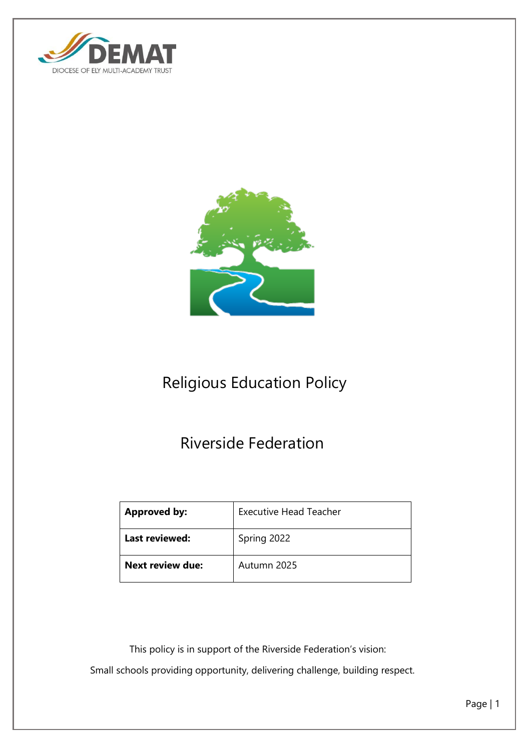



# Religious Education Policy

## Riverside Federation

| <b>Approved by:</b>     | <b>Executive Head Teacher</b> |
|-------------------------|-------------------------------|
| <b>Last reviewed:</b>   | Spring 2022                   |
| <b>Next review due:</b> | Autumn 2025                   |

This policy is in support of the Riverside Federation's vision:

Small schools providing opportunity, delivering challenge, building respect.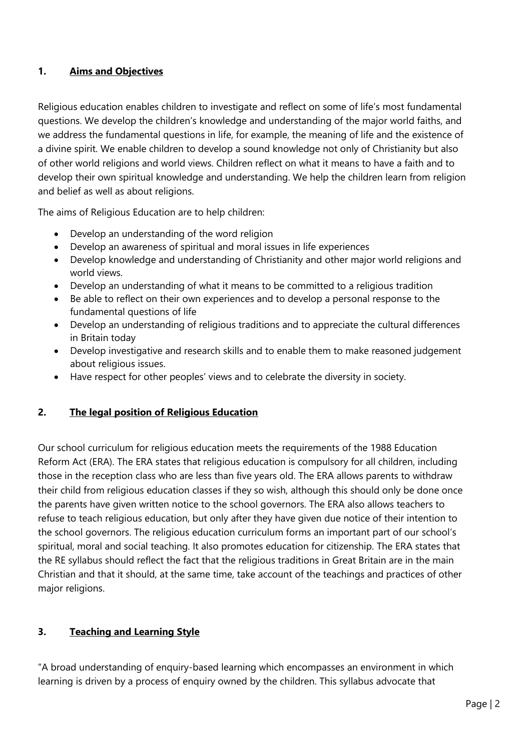## **1. Aims and Objectives**

Religious education enables children to investigate and reflect on some of life's most fundamental questions. We develop the children's knowledge and understanding of the major world faiths, and we address the fundamental questions in life, for example, the meaning of life and the existence of a divine spirit. We enable children to develop a sound knowledge not only of Christianity but also of other world religions and world views. Children reflect on what it means to have a faith and to develop their own spiritual knowledge and understanding. We help the children learn from religion and belief as well as about religions.

The aims of Religious Education are to help children:

- Develop an understanding of the word religion
- Develop an awareness of spiritual and moral issues in life experiences
- Develop knowledge and understanding of Christianity and other major world religions and world views.
- Develop an understanding of what it means to be committed to a religious tradition
- Be able to reflect on their own experiences and to develop a personal response to the fundamental questions of life
- Develop an understanding of religious traditions and to appreciate the cultural differences in Britain today
- Develop investigative and research skills and to enable them to make reasoned judgement about religious issues.
- Have respect for other peoples' views and to celebrate the diversity in society.

## **2. The legal position of Religious Education**

Our school curriculum for religious education meets the requirements of the 1988 Education Reform Act (ERA). The ERA states that religious education is compulsory for all children, including those in the reception class who are less than five years old. The ERA allows parents to withdraw their child from religious education classes if they so wish, although this should only be done once the parents have given written notice to the school governors. The ERA also allows teachers to refuse to teach religious education, but only after they have given due notice of their intention to the school governors. The religious education curriculum forms an important part of our school's spiritual, moral and social teaching. It also promotes education for citizenship. The ERA states that the RE syllabus should reflect the fact that the religious traditions in Great Britain are in the main Christian and that it should, at the same time, take account of the teachings and practices of other major religions.

#### **3. Teaching and Learning Style**

"A broad understanding of enquiry-based learning which encompasses an environment in which learning is driven by a process of enquiry owned by the children. This syllabus advocate that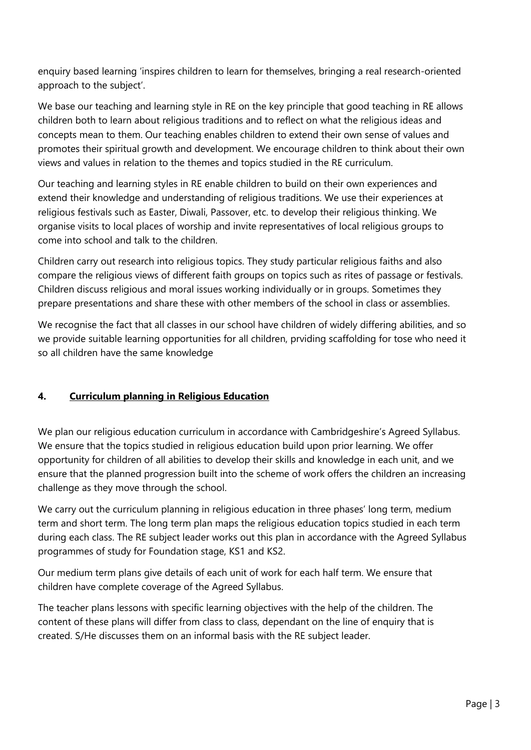enquiry based learning 'inspires children to learn for themselves, bringing a real research-oriented approach to the subject'.

We base our teaching and learning style in RE on the key principle that good teaching in RE allows children both to learn about religious traditions and to reflect on what the religious ideas and concepts mean to them. Our teaching enables children to extend their own sense of values and promotes their spiritual growth and development. We encourage children to think about their own views and values in relation to the themes and topics studied in the RE curriculum.

Our teaching and learning styles in RE enable children to build on their own experiences and extend their knowledge and understanding of religious traditions. We use their experiences at religious festivals such as Easter, Diwali, Passover, etc. to develop their religious thinking. We organise visits to local places of worship and invite representatives of local religious groups to come into school and talk to the children.

Children carry out research into religious topics. They study particular religious faiths and also compare the religious views of different faith groups on topics such as rites of passage or festivals. Children discuss religious and moral issues working individually or in groups. Sometimes they prepare presentations and share these with other members of the school in class or assemblies.

We recognise the fact that all classes in our school have children of widely differing abilities, and so we provide suitable learning opportunities for all children, prviding scaffolding for tose who need it so all children have the same knowledge

## **4. Curriculum planning in Religious Education**

We plan our religious education curriculum in accordance with Cambridgeshire's Agreed Syllabus. We ensure that the topics studied in religious education build upon prior learning. We offer opportunity for children of all abilities to develop their skills and knowledge in each unit, and we ensure that the planned progression built into the scheme of work offers the children an increasing challenge as they move through the school.

We carry out the curriculum planning in religious education in three phases' long term, medium term and short term. The long term plan maps the religious education topics studied in each term during each class. The RE subject leader works out this plan in accordance with the Agreed Syllabus programmes of study for Foundation stage, KS1 and KS2.

Our medium term plans give details of each unit of work for each half term. We ensure that children have complete coverage of the Agreed Syllabus.

The teacher plans lessons with specific learning objectives with the help of the children. The content of these plans will differ from class to class, dependant on the line of enquiry that is created. S/He discusses them on an informal basis with the RE subject leader.